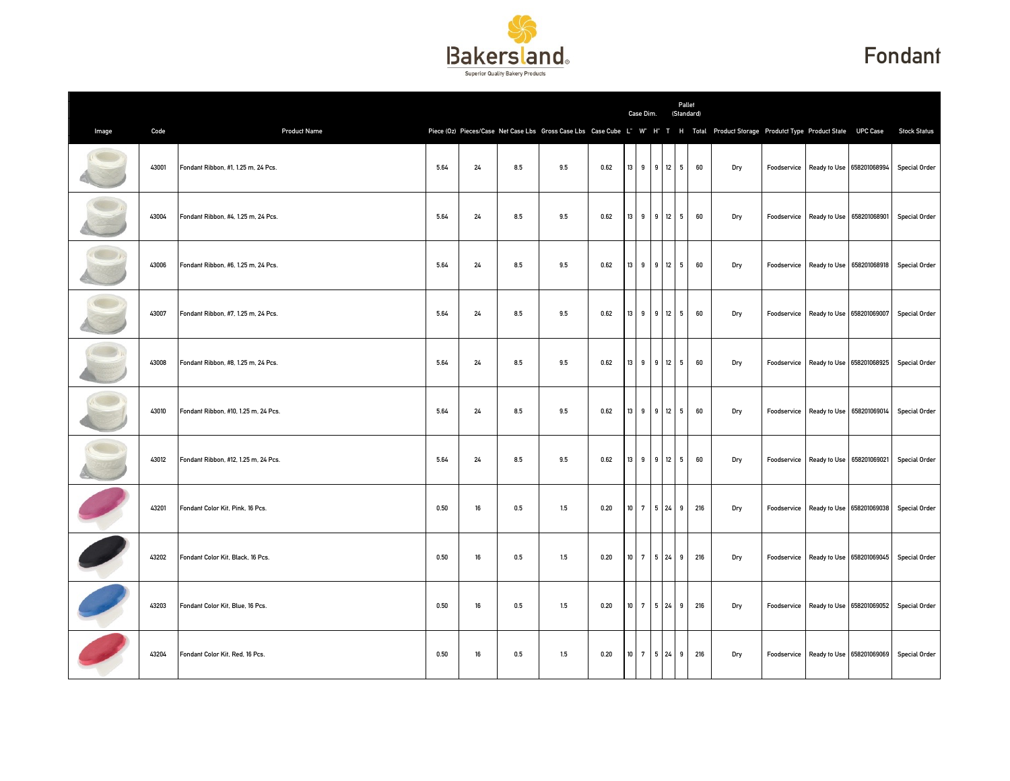

## Fondant

|       |       |                                      |      |        |     |     |      |                 | Case Dim.   |   | Pallet<br>(Standard) |                                                                                                                                      |  |                                       |                                                     |
|-------|-------|--------------------------------------|------|--------|-----|-----|------|-----------------|-------------|---|----------------------|--------------------------------------------------------------------------------------------------------------------------------------|--|---------------------------------------|-----------------------------------------------------|
| Image | Code  | <b>Product Name</b>                  |      |        |     |     |      |                 |             |   |                      | Piece (Oz) Pieces/Case Net Case Lbs Gross Case Lbs Case Cube L" W" H" T H Total Product Storage Produtct Type Product State UPC Case |  |                                       | <b>Stock Status</b>                                 |
|       | 43001 | Fondant Ribbon, #1, 1.25 m, 24 Pcs.  | 5.64 | 24     | 8.5 | 9.5 | 0.62 | 13              | 9 9 12 5    |   | 60                   | Dry                                                                                                                                  |  | Foodservice Ready to Use 658201068994 | <b>Special Order</b>                                |
|       | 43004 | Fondant Ribbon, #4, 1.25 m, 24 Pcs.  | 5.64 | 24     | 8.5 | 9.5 | 0.62 | 13              | 9 9 12 5    |   | 60                   | Dry                                                                                                                                  |  |                                       | Foodservice Ready to Use 658201068901 Special Order |
|       | 43006 | Fondant Ribbon, #6, 1.25 m, 24 Pcs.  | 5.64 | 24     | 8.5 | 9.5 | 0.62 | 13              | 9 9 12 5    |   | 60                   | Dry                                                                                                                                  |  | Foodservice Ready to Use 658201068918 | <b>Special Order</b>                                |
|       | 43007 | Fondant Ribbon, #7, 1.25 m, 24 Pcs.  | 5.64 | 24     | 8.5 | 9.5 | 0.62 | 13              | 9 9 12      | 5 | 60                   | Dry                                                                                                                                  |  | Foodservice Ready to Use 658201069007 | <b>Special Order</b>                                |
|       | 43008 | Fondant Ribbon, #8, 1.25 m, 24 Pcs.  | 5.64 | $24\,$ | 8.5 | 9.5 | 0.62 | $13$            | 9 9 12 5    |   | 60                   | Dry                                                                                                                                  |  | Foodservice Ready to Use 658201068925 | <b>Special Order</b>                                |
|       | 43010 | Fondant Ribbon, #10, 1.25 m, 24 Pcs. | 5.64 | 24     | 8.5 | 9.5 | 0.62 | 13              | 9 9 12 5    |   | 60                   | Dry                                                                                                                                  |  | Foodservice Ready to Use 658201069014 | <b>Special Order</b>                                |
|       | 43012 | Fondant Ribbon, #12, 1.25 m, 24 Pcs. | 5.64 | 24     | 8.5 | 9.5 | 0.62 | 13              | 9 9 12 5    |   | 60                   | Dry                                                                                                                                  |  |                                       | Foodservice Ready to Use 658201069021 Special Order |
|       | 43201 | Fondant Color Kit, Pink, 16 Pcs.     | 0.50 | 16     | 0.5 | 1.5 | 0.20 | 10 <sup>1</sup> | 7 5 24 9    |   | 216                  | Dry                                                                                                                                  |  | Foodservice Ready to Use 658201069038 | <b>Special Order</b>                                |
|       | 43202 | Fondant Color Kit, Black, 16 Pcs.    | 0.50 | 16     | 0.5 | 1.5 | 0.20 | $10\,$          | 7 5 24      | 9 | 216                  | Dry                                                                                                                                  |  | Foodservice Ready to Use 658201069045 | <b>Special Order</b>                                |
|       | 43203 | Fondant Color Kit, Blue, 16 Pcs.     | 0.50 | 16     | 0.5 | 1.5 | 0.20 | 10 <sup>1</sup> | 7 5 24 9    |   | 216                  | Dry                                                                                                                                  |  |                                       | Foodservice Ready to Use 658201069052 Special Order |
|       | 43204 | Fondant Color Kit, Red, 16 Pcs.      | 0.50 | 16     | 0.5 | 1.5 | 0.20 |                 | 10 7 5 24 9 |   | 216                  | Dry                                                                                                                                  |  |                                       | Foodservice Ready to Use 658201069069 Special Order |